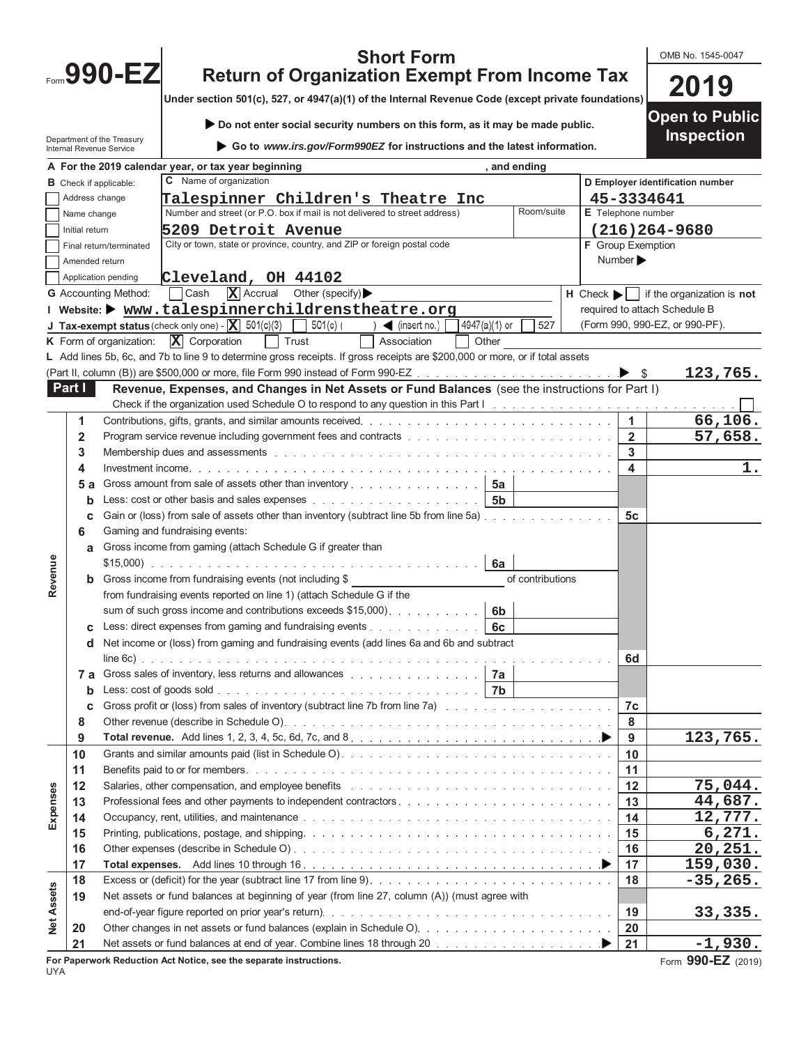| OMB No. 1545-0047 |  |
|-------------------|--|
|-------------------|--|

**2019**

| <b>Short Form</b>                                    |
|------------------------------------------------------|
| <b>Return of Organization Exempt From Income Tax</b> |

**Under section 501(c), 527, or 4947(a)(1) of the Internal Revenue Code (except private foundations)**

Department of the Treasury Internal Revenue Service **Do not enter social security numbers on this form, as it may be made public. Go to** *www.irs.gov/Form990EZ* **for instructions and the latest information. Open to Public Inspection A For the 2019 calendar year, or tax year beginning , and ending B** Check if applicable: Address change Name change Initial return Final return/terminated Amended return Application pending **C** Name of organization Number and street (or P.O. box if mail is not delivered to street address) Room/suite City or town, state or province, country, and ZIP or foreign postal code **DEmployer identification number E** Telephone number **F** Group Exemption Number **G** Accounting Method:  $\boxed{\phantom{a}}$  Cash  $\boxed{\phantom{a}}$  Accrual Other (specify) **H H** Check  $\boxed{\phantom{a}}$  if the organization is **not** required to attach Schedule B (Form 990, 990-EZ, or 990-PF). **I Website: www.talespinnerchildrenstheatre.org J Tax-exempt status** (check only one)  $\cdot$  **X** 501(c)(3)  $\cdot$  501(c) ( )  $\cdot$  (insert no.) 4947(a)(1) or 527 **K** Form of organization:  $\boxed{\mathbf{X}}$  Corporation  $\boxed{\phantom{a}}$  Trust  $\boxed{\phantom{a}}$  Association  $\boxed{\phantom{a}}$  Other **L** Add lines 5b, 6c, and 7b to line 9 to determine gross receipts. If gross receipts are \$200,000 or more, or if total assets (Part II, column (B)) are \$500,000 or more, file Form 990 instead of Form 990-EZ  $\ldots$ ,  $\ldots$ ,  $\ldots$ ,  $\ldots$ **Part I** Revenue, Expenses, and Changes in Net Assets or Fund Balances (see the instructions for Part I) Check if the organization used Schedule O to respond to any question in this Part I **1** Contributions, gifts, grants, and similar amounts received **1 2** Program service revenue including government fees and contracts **2 3** Membership dues and assessments **3 Talespinner Children's Theatre Inc 5209 Detroit Avenue Cleveland, OH 44102 45-3334641 (216)264-9680 X** Accrual Other (specify) ▶ **X** Corporation **123,765. 66,106. 57,658.**

|                   | 4   |                                                                                                                       | $\overline{\mathbf{A}}$ | 1.          |
|-------------------|-----|-----------------------------------------------------------------------------------------------------------------------|-------------------------|-------------|
|                   | 5 а | Gross amount from sale of assets other than inventory 5a                                                              |                         |             |
|                   | b   |                                                                                                                       |                         |             |
|                   | c   | Gain or (loss) from sale of assets other than inventory (subtract line 5b from line 5a)                               | 5c                      |             |
|                   | 6   | Gaming and fundraising events:                                                                                        |                         |             |
|                   | a   | Gross income from gaming (attach Schedule G if greater than                                                           |                         |             |
|                   |     | 6а                                                                                                                    |                         |             |
| Revenue           | b   | Gross income from fundraising events (not including \$<br>of contributions                                            |                         |             |
|                   |     | from fundraising events reported on line 1) (attach Schedule G if the                                                 |                         |             |
|                   |     | sum of such gross income and contributions exceeds $$15,000$ . 6b                                                     |                         |             |
|                   | c   | Less: direct expenses from gaming and fundraising events $\ldots$ , $\ldots$ , $\ldots$ , $\ldots$                    |                         |             |
|                   | d   | Net income or (loss) from gaming and fundraising events (add lines 6a and 6b and subtract                             |                         |             |
|                   |     |                                                                                                                       | 6d                      |             |
|                   | 7 а | Gross sales of inventory, less returns and allowances entitled and service and allowances and allowances and all $7a$ |                         |             |
|                   | b   |                                                                                                                       |                         |             |
|                   | c   |                                                                                                                       | 7c                      |             |
|                   | 8   |                                                                                                                       | 8                       |             |
|                   | 9   |                                                                                                                       | 9                       | 123,765.    |
|                   | 10  |                                                                                                                       | 10                      |             |
|                   | 11  |                                                                                                                       | 11                      |             |
|                   | 12  | Salaries, other compensation, and employee benefits response to the content of the second section of the second       | 12                      | 75,044.     |
| Expenses          | 13  |                                                                                                                       | 13                      | 44,687.     |
|                   | 14  |                                                                                                                       | 14                      | 12,777.     |
|                   | 15  |                                                                                                                       | 15                      | 6,271.      |
|                   | 16  |                                                                                                                       | 16                      | 20, 251.    |
|                   | 17  |                                                                                                                       | 17                      | 159,030.    |
|                   | 18  |                                                                                                                       | 18                      | $-35, 265.$ |
| <b>Net Assets</b> | 19  | Net assets or fund balances at beginning of year (from line 27, column (A)) (must agree with                          |                         |             |
|                   |     |                                                                                                                       | 19                      | 33,335.     |
|                   | 20  |                                                                                                                       | 20                      |             |
|                   | 21  |                                                                                                                       | 21                      | $-1,930.$   |

**For Paperwork Reduction Act Notice, see the separate instructions.** Form **990-EZ** (2019)

Form **990-EZ**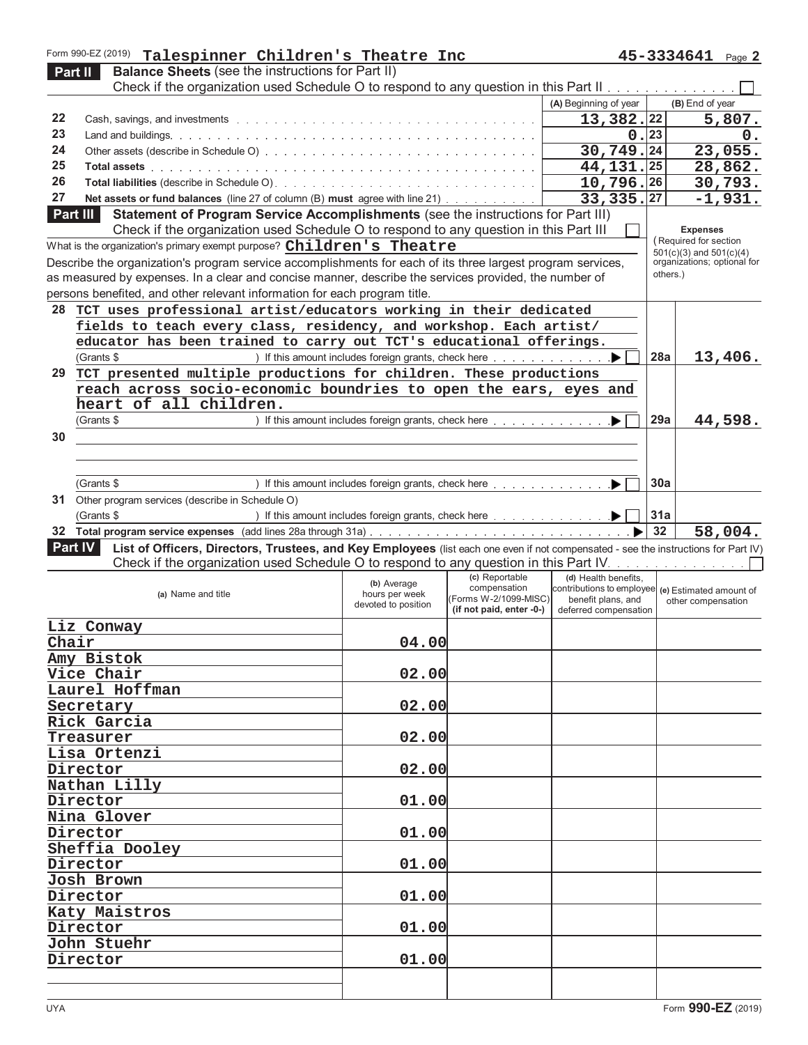|       | Form 990-EZ (2019) Talespinner Children's Theatre Inc                                                                                                                                                                          |                                                                                                |                                |                                                                         |          | 45-3334641 Page 2           |       |
|-------|--------------------------------------------------------------------------------------------------------------------------------------------------------------------------------------------------------------------------------|------------------------------------------------------------------------------------------------|--------------------------------|-------------------------------------------------------------------------|----------|-----------------------------|-------|
|       | <b>Balance Sheets (see the instructions for Part II)</b><br>Part II                                                                                                                                                            |                                                                                                |                                |                                                                         |          |                             |       |
|       | Check if the organization used Schedule O to respond to any question in this Part II measure and containing the                                                                                                                |                                                                                                |                                |                                                                         |          |                             |       |
|       |                                                                                                                                                                                                                                |                                                                                                |                                | (A) Beginning of year                                                   |          | (B) End of year             |       |
| 22    |                                                                                                                                                                                                                                |                                                                                                |                                | 13,382.22                                                               |          | 5,807.                      |       |
| 23    |                                                                                                                                                                                                                                |                                                                                                |                                | 0.23                                                                    |          |                             | $0$ . |
| 24    |                                                                                                                                                                                                                                |                                                                                                |                                | 30, 749.24                                                              |          | 23,055.                     |       |
| 25    | Total assets with a warranty and the state of the state of the state of the state of the state of the state of the state of the state of the state of the state of the state of the state of the state of the state of the sta |                                                                                                |                                | 44, 131. 25                                                             |          | 28,862.                     |       |
| 26    |                                                                                                                                                                                                                                |                                                                                                |                                | 10,796.26                                                               |          | 30,793.                     |       |
| 27    | Net assets or fund balances (line 27 of column (B) must agree with line 21)                                                                                                                                                    |                                                                                                |                                | 33, 335. 27                                                             |          | $-1,931.$                   |       |
|       | Statement of Program Service Accomplishments (see the instructions for Part III)<br>Part III                                                                                                                                   |                                                                                                |                                |                                                                         |          |                             |       |
|       | Check if the organization used Schedule O to respond to any question in this Part III                                                                                                                                          |                                                                                                |                                |                                                                         |          | <b>Expenses</b>             |       |
|       | What is the organization's primary exempt purpose? Children's Theatre                                                                                                                                                          |                                                                                                |                                |                                                                         |          | (Required for section       |       |
|       |                                                                                                                                                                                                                                |                                                                                                |                                |                                                                         |          | $501(c)(3)$ and $501(c)(4)$ |       |
|       | Describe the organization's program service accomplishments for each of its three largest program services,                                                                                                                    |                                                                                                |                                |                                                                         | others.) | organizations; optional for |       |
|       | as measured by expenses. In a clear and concise manner, describe the services provided, the number of                                                                                                                          |                                                                                                |                                |                                                                         |          |                             |       |
|       | persons benefited, and other relevant information for each program title.                                                                                                                                                      |                                                                                                |                                |                                                                         |          |                             |       |
| 28    | TCT uses professional artist/educators working in their dedicated                                                                                                                                                              |                                                                                                |                                |                                                                         |          |                             |       |
|       | fields to teach every class, residency, and workshop. Each artist/                                                                                                                                                             |                                                                                                |                                |                                                                         |          |                             |       |
|       | educator has been trained to carry out TCT's educational offerings.                                                                                                                                                            |                                                                                                |                                |                                                                         |          |                             |       |
|       | (Grants \$                                                                                                                                                                                                                     |                                                                                                |                                |                                                                         | 28a      | 13,406.                     |       |
| 29    | TCT presented multiple productions for children. These productions                                                                                                                                                             |                                                                                                |                                |                                                                         |          |                             |       |
|       | reach across socio-economic boundries to open the ears, eyes and                                                                                                                                                               |                                                                                                |                                |                                                                         |          |                             |       |
|       | heart of all children.                                                                                                                                                                                                         |                                                                                                |                                |                                                                         |          |                             |       |
|       | (Grants \$                                                                                                                                                                                                                     |                                                                                                |                                |                                                                         | 29a      | 44,598.                     |       |
| 30    |                                                                                                                                                                                                                                |                                                                                                |                                |                                                                         |          |                             |       |
|       |                                                                                                                                                                                                                                |                                                                                                |                                |                                                                         |          |                             |       |
|       |                                                                                                                                                                                                                                |                                                                                                |                                |                                                                         |          |                             |       |
|       | (Grants \$                                                                                                                                                                                                                     |                                                                                                |                                |                                                                         | 30a      |                             |       |
|       |                                                                                                                                                                                                                                | ) If this amount includes foreign grants, check here $\ldots$ , $\ldots$ , $\ldots$ , $\ldots$ |                                |                                                                         |          |                             |       |
| 31    | Other program services (describe in Schedule O)                                                                                                                                                                                |                                                                                                |                                |                                                                         |          |                             |       |
|       | (Grants \$                                                                                                                                                                                                                     | ) If this amount includes foreign grants, check here ▶                                         |                                |                                                                         | 31a      |                             |       |
|       |                                                                                                                                                                                                                                |                                                                                                |                                |                                                                         |          |                             |       |
|       |                                                                                                                                                                                                                                |                                                                                                |                                |                                                                         | 32       | 58,004.                     |       |
|       | Part IV<br>List of Officers, Directors, Trustees, and Key Employees (list each one even if not compensated - see the instructions for Part IV)                                                                                 |                                                                                                |                                |                                                                         |          |                             |       |
|       | Check if the organization used Schedule O to respond to any question in this Part IV. Almand Almand Almand Alm                                                                                                                 |                                                                                                |                                |                                                                         |          |                             |       |
|       |                                                                                                                                                                                                                                | (b) Average                                                                                    | (c) Reportable<br>compensation | (d) Health benefits,                                                    |          |                             |       |
|       | (a) Name and title                                                                                                                                                                                                             | hours per week                                                                                 | (Forms W-2/1099-MISC)          | contributions to employee (e) Estimated amount of<br>benefit plans, and |          | other compensation          |       |
|       |                                                                                                                                                                                                                                | devoted to position                                                                            | (if not paid, enter -0-)       | deferred compensation                                                   |          |                             |       |
|       | Liz Conway                                                                                                                                                                                                                     |                                                                                                |                                |                                                                         |          |                             |       |
| Chair |                                                                                                                                                                                                                                | 04.00                                                                                          |                                |                                                                         |          |                             |       |
|       | Amy Bistok                                                                                                                                                                                                                     |                                                                                                |                                |                                                                         |          |                             |       |
|       | Vice Chair                                                                                                                                                                                                                     | 02.00                                                                                          |                                |                                                                         |          |                             |       |
|       |                                                                                                                                                                                                                                |                                                                                                |                                |                                                                         |          |                             |       |
|       | Laurel Hoffman                                                                                                                                                                                                                 |                                                                                                |                                |                                                                         |          |                             |       |
|       | Secretary                                                                                                                                                                                                                      | 02.00                                                                                          |                                |                                                                         |          |                             |       |
|       | Rick Garcia                                                                                                                                                                                                                    |                                                                                                |                                |                                                                         |          |                             |       |
|       | Treasurer                                                                                                                                                                                                                      | 02.00                                                                                          |                                |                                                                         |          |                             |       |
|       | Lisa Ortenzi                                                                                                                                                                                                                   |                                                                                                |                                |                                                                         |          |                             |       |
|       | Director                                                                                                                                                                                                                       | 02.00                                                                                          |                                |                                                                         |          |                             |       |
|       | Nathan Lilly                                                                                                                                                                                                                   |                                                                                                |                                |                                                                         |          |                             |       |
|       | Director                                                                                                                                                                                                                       | 01.00                                                                                          |                                |                                                                         |          |                             |       |
|       | Nina Glover                                                                                                                                                                                                                    |                                                                                                |                                |                                                                         |          |                             |       |
|       | Director                                                                                                                                                                                                                       | 01.00                                                                                          |                                |                                                                         |          |                             |       |
|       | Sheffia Dooley                                                                                                                                                                                                                 |                                                                                                |                                |                                                                         |          |                             |       |
|       | Director                                                                                                                                                                                                                       | 01.00                                                                                          |                                |                                                                         |          |                             |       |
|       | Josh Brown                                                                                                                                                                                                                     |                                                                                                |                                |                                                                         |          |                             |       |
|       | Director                                                                                                                                                                                                                       | 01.00                                                                                          |                                |                                                                         |          |                             |       |
|       | Katy Maistros                                                                                                                                                                                                                  |                                                                                                |                                |                                                                         |          |                             |       |
|       |                                                                                                                                                                                                                                |                                                                                                |                                |                                                                         |          |                             |       |
|       | Director                                                                                                                                                                                                                       | 01.00                                                                                          |                                |                                                                         |          |                             |       |
|       | John Stuehr                                                                                                                                                                                                                    |                                                                                                |                                |                                                                         |          |                             |       |
|       | Director                                                                                                                                                                                                                       | 01.00                                                                                          |                                |                                                                         |          |                             |       |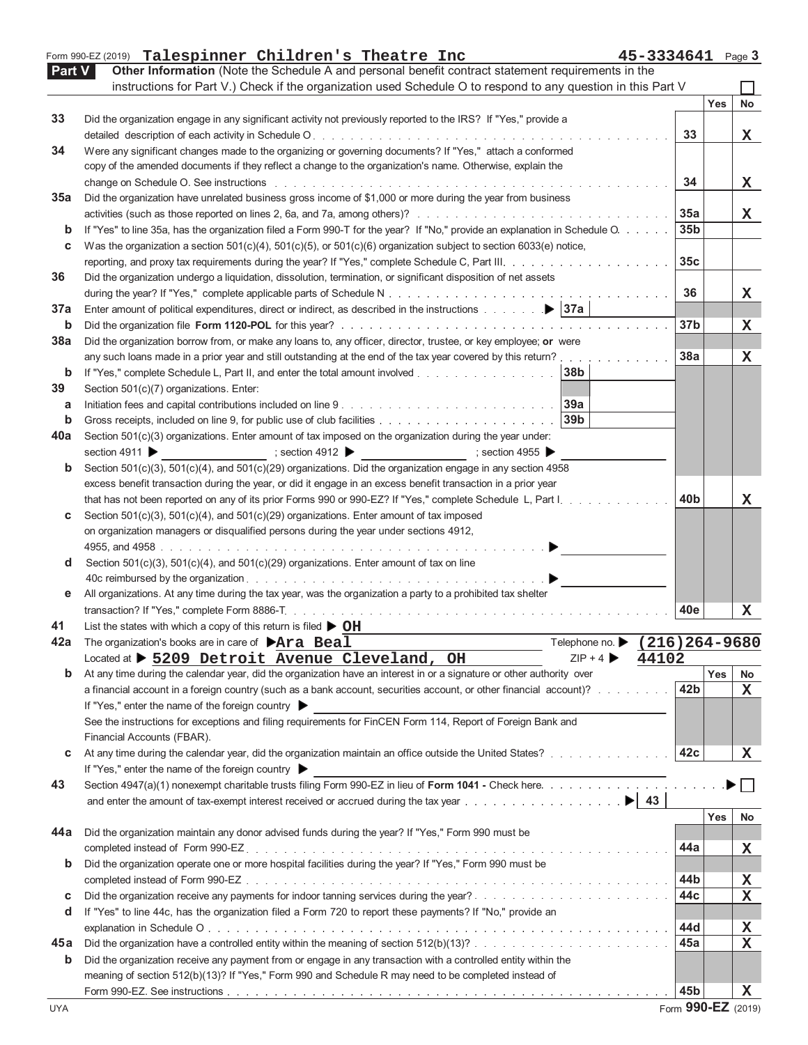|               | 45-3334641 Page 3<br>Form 990-EZ (2019) Talespinner Children's Theatre Inc                                                                                                                                                     |                 |     |    |
|---------------|--------------------------------------------------------------------------------------------------------------------------------------------------------------------------------------------------------------------------------|-----------------|-----|----|
| <b>Part V</b> | Other Information (Note the Schedule A and personal benefit contract statement requirements in the                                                                                                                             |                 |     |    |
|               | instructions for Part V.) Check if the organization used Schedule O to respond to any question in this Part V                                                                                                                  |                 |     |    |
|               |                                                                                                                                                                                                                                |                 | Yes | No |
| 33            | Did the organization engage in any significant activity not previously reported to the IRS? If "Yes," provide a                                                                                                                |                 |     |    |
|               |                                                                                                                                                                                                                                | 33              |     | x  |
| 34            | Were any significant changes made to the organizing or governing documents? If "Yes," attach a conformed                                                                                                                       |                 |     |    |
|               | copy of the amended documents if they reflect a change to the organization's name. Otherwise, explain the                                                                                                                      |                 |     |    |
|               | change on Schedule O. See instructions enterprise and and an article of the contract of the contract of the contract of the contract of the contract of the contract of the contract of the contract of the contract of the co | 34              |     | х  |
| 35a           | Did the organization have unrelated business gross income of \$1,000 or more during the year from business                                                                                                                     |                 |     |    |
|               |                                                                                                                                                                                                                                | 35a             |     | x  |
| $\mathbf b$   | If "Yes" to line 35a, has the organization filed a Form 990-T for the year? If "No," provide an explanation in Schedule O.                                                                                                     | 35 <sub>b</sub> |     |    |
| c             | Was the organization a section $501(c)(4)$ , $501(c)(5)$ , or $501(c)(6)$ organization subject to section 6033(e) notice,                                                                                                      |                 |     |    |
|               |                                                                                                                                                                                                                                | 35c             |     |    |
| 36            | Did the organization undergo a liquidation, dissolution, termination, or significant disposition of net assets                                                                                                                 |                 |     |    |
|               |                                                                                                                                                                                                                                | 36              |     |    |
|               |                                                                                                                                                                                                                                |                 |     | x  |
| 37a           |                                                                                                                                                                                                                                |                 |     |    |
| b             |                                                                                                                                                                                                                                | 37 <sub>b</sub> |     | х  |
| 38a           | Did the organization borrow from, or make any loans to, any officer, director, trustee, or key employee; or were                                                                                                               |                 |     |    |
|               | any such loans made in a prior year and still outstanding at the end of the tax year covered by this return?                                                                                                                   | 38a             |     | x  |
| b             | If "Yes," complete Schedule L, Part II, and enter the total amount involved<br>38b                                                                                                                                             |                 |     |    |
| 39            | Section 501(c)(7) organizations. Enter:                                                                                                                                                                                        |                 |     |    |
| а             | 39a                                                                                                                                                                                                                            |                 |     |    |
| b             | 39 <sub>b</sub>                                                                                                                                                                                                                |                 |     |    |
| 40a           | Section 501(c)(3) organizations. Enter amount of tax imposed on the organization during the year under:                                                                                                                        |                 |     |    |
|               | $\Rightarrow$ section 4955<br>section 4911<br>; section 4912 $\blacktriangleright$                                                                                                                                             |                 |     |    |
| b             | Section 501(c)(3), 501(c)(4), and 501(c)(29) organizations. Did the organization engage in any section 4958                                                                                                                    |                 |     |    |
|               | excess benefit transaction during the year, or did it engage in an excess benefit transaction in a prior year                                                                                                                  |                 |     |    |
|               | that has not been reported on any of its prior Forms 990 or 990-EZ? If "Yes," complete Schedule L, Part I.                                                                                                                     | 40b             |     | x  |
| С             | Section $501(c)(3)$ , $501(c)(4)$ , and $501(c)(29)$ organizations. Enter amount of tax imposed                                                                                                                                |                 |     |    |
|               | on organization managers or disqualified persons during the year under sections 4912,                                                                                                                                          |                 |     |    |
|               |                                                                                                                                                                                                                                |                 |     |    |
| d             | Section 501(c)(3), 501(c)(4), and 501(c)(29) organizations. Enter amount of tax on line                                                                                                                                        |                 |     |    |
|               |                                                                                                                                                                                                                                |                 |     |    |
| е             | All organizations. At any time during the tax year, was the organization a party to a prohibited tax shelter                                                                                                                   |                 |     |    |
|               |                                                                                                                                                                                                                                | 40e             |     | x  |
| 41            | List the states with which a copy of this return is filed $\triangleright$ OH                                                                                                                                                  |                 |     |    |
|               | Telephone no. • (216) 264-9680<br>The organization's books are in care of $\triangleright$ Ara Beal                                                                                                                            |                 |     |    |
|               | Located at > 5209 Detroit Avenue Cleveland, OH<br>$ZIP + 4$<br>44102                                                                                                                                                           |                 |     |    |
| b             | At any time during the calendar year, did the organization have an interest in or a signature or other authority over                                                                                                          |                 | Yes |    |
|               | a financial account in a foreign country (such as a bank account, securities account, or other financial account)?                                                                                                             | 42 <sub>b</sub> |     | No |
|               |                                                                                                                                                                                                                                |                 |     | X  |
|               | If "Yes," enter the name of the foreign country                                                                                                                                                                                |                 |     |    |
|               | See the instructions for exceptions and filing requirements for FinCEN Form 114, Report of Foreign Bank and                                                                                                                    |                 |     |    |
|               | Financial Accounts (FBAR).                                                                                                                                                                                                     |                 |     |    |
| c             | At any time during the calendar year, did the organization maintain an office outside the United States?                                                                                                                       | 42c             |     | х  |
|               | If "Yes," enter the name of the foreign country                                                                                                                                                                                |                 |     |    |
| 43            | Section 4947(a)(1) nonexempt charitable trusts filing Form 990-EZ in lieu of Form 1041 - Check here.                                                                                                                           |                 |     |    |
|               | and enter the amount of tax-exempt interest received or accrued during the tax year $\ldots$ , $\ldots$ , $\ldots$ , $\ldots$ , $\ldots$ , $\blacktriangleright$ 43                                                            |                 |     |    |
|               |                                                                                                                                                                                                                                |                 | Yes | No |
| 44a           | Did the organization maintain any donor advised funds during the year? If "Yes," Form 990 must be                                                                                                                              |                 |     |    |
|               |                                                                                                                                                                                                                                | 44a             |     | X  |
| b             | Did the organization operate one or more hospital facilities during the year? If "Yes," Form 990 must be                                                                                                                       |                 |     |    |
|               |                                                                                                                                                                                                                                | 44b             |     | X  |
| c             |                                                                                                                                                                                                                                | 44c             |     | х  |
| d             | If "Yes" to line 44c, has the organization filed a Form 720 to report these payments? If "No," provide an                                                                                                                      |                 |     |    |
|               |                                                                                                                                                                                                                                | 44d             |     | x  |
| 45a           |                                                                                                                                                                                                                                | 45a             |     | х  |
| b             | Did the organization receive any payment from or engage in any transaction with a controlled entity within the                                                                                                                 |                 |     |    |
|               | meaning of section 512(b)(13)? If "Yes," Form 990 and Schedule R may need to be completed instead of                                                                                                                           |                 |     |    |
|               |                                                                                                                                                                                                                                | 45b             |     |    |
|               |                                                                                                                                                                                                                                |                 |     | X  |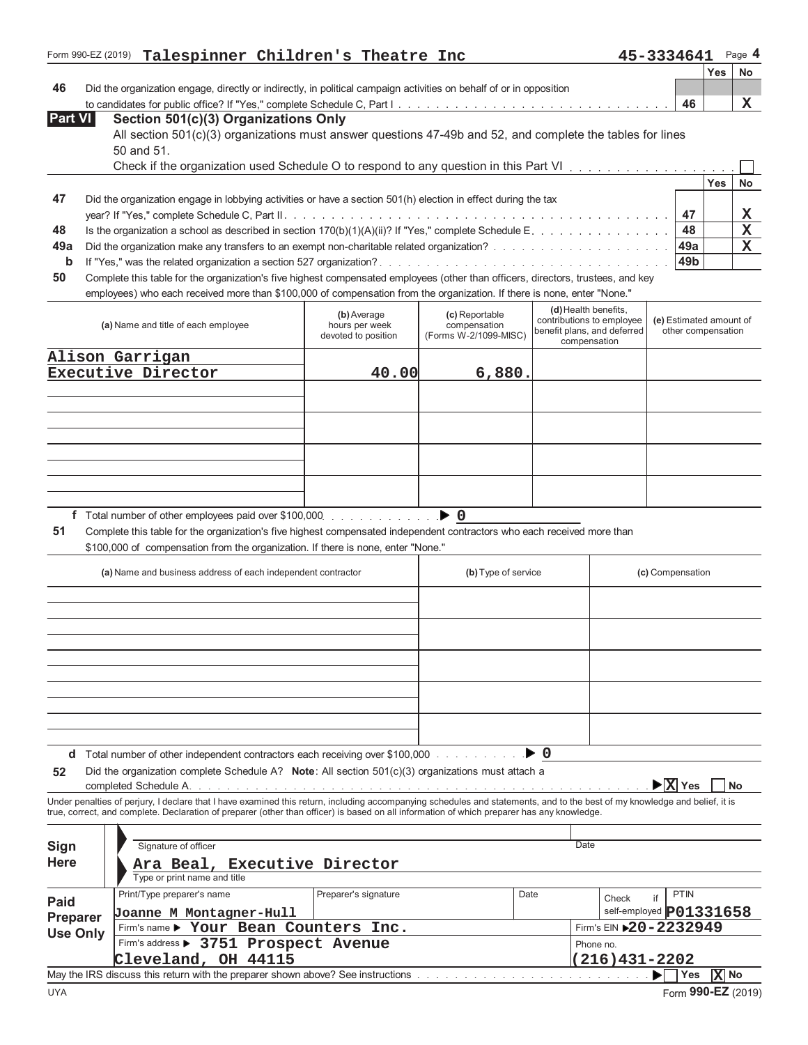|                 | Form 990-EZ (2019) Talespinner Children's Theatre Inc                                                                                                                                                                                                       |                               |                                |      |                                                          | 45-3334641                                    |                     | Page 4    |
|-----------------|-------------------------------------------------------------------------------------------------------------------------------------------------------------------------------------------------------------------------------------------------------------|-------------------------------|--------------------------------|------|----------------------------------------------------------|-----------------------------------------------|---------------------|-----------|
|                 |                                                                                                                                                                                                                                                             |                               |                                |      |                                                          |                                               | Yes                 | No        |
| 46              | Did the organization engage, directly or indirectly, in political campaign activities on behalf of or in opposition                                                                                                                                         |                               |                                |      |                                                          | 46                                            |                     | x         |
| <b>Part VI</b>  | Section 501(c)(3) Organizations Only                                                                                                                                                                                                                        |                               |                                |      |                                                          |                                               |                     |           |
|                 | All section 501(c)(3) organizations must answer questions 47-49b and 52, and complete the tables for lines                                                                                                                                                  |                               |                                |      |                                                          |                                               |                     |           |
|                 | 50 and 51.                                                                                                                                                                                                                                                  |                               |                                |      |                                                          |                                               |                     |           |
|                 | Check if the organization used Schedule O to respond to any question in this Part VI                                                                                                                                                                        |                               |                                |      |                                                          |                                               |                     |           |
|                 |                                                                                                                                                                                                                                                             |                               |                                |      |                                                          |                                               | Yes                 | <b>No</b> |
| 47              | Did the organization engage in lobbying activities or have a section $501(h)$ election in effect during the tax                                                                                                                                             |                               |                                |      |                                                          |                                               |                     |           |
|                 |                                                                                                                                                                                                                                                             |                               |                                |      |                                                          | 47                                            |                     | x         |
| 48              | Is the organization a school as described in section 170(b)(1)(A)(ii)? If "Yes," complete Schedule E.                                                                                                                                                       |                               |                                |      |                                                          | 48                                            |                     | X         |
| 49a             |                                                                                                                                                                                                                                                             |                               |                                |      |                                                          | 49a                                           |                     | X         |
| b               |                                                                                                                                                                                                                                                             |                               |                                |      |                                                          | 49b                                           |                     |           |
| 50              | Complete this table for the organization's five highest compensated employees (other than officers, directors, trustees, and key<br>employees) who each received more than \$100,000 of compensation from the organization. If there is none, enter "None." |                               |                                |      |                                                          |                                               |                     |           |
|                 |                                                                                                                                                                                                                                                             |                               |                                |      | (d) Health benefits,                                     |                                               |                     |           |
|                 | (a) Name and title of each employee                                                                                                                                                                                                                         | (b) Average<br>hours per week | (c) Reportable<br>compensation |      | contributions to employee<br>benefit plans, and deferred | (e) Estimated amount of<br>other compensation |                     |           |
|                 |                                                                                                                                                                                                                                                             | devoted to position           | (Forms W-2/1099-MISC)          |      | compensation                                             |                                               |                     |           |
|                 | Alison Garrigan                                                                                                                                                                                                                                             |                               |                                |      |                                                          |                                               |                     |           |
|                 | Executive Director                                                                                                                                                                                                                                          | 40.00                         | 6,880.                         |      |                                                          |                                               |                     |           |
|                 |                                                                                                                                                                                                                                                             |                               |                                |      |                                                          |                                               |                     |           |
|                 |                                                                                                                                                                                                                                                             |                               |                                |      |                                                          |                                               |                     |           |
|                 |                                                                                                                                                                                                                                                             |                               |                                |      |                                                          |                                               |                     |           |
|                 |                                                                                                                                                                                                                                                             |                               |                                |      |                                                          |                                               |                     |           |
|                 |                                                                                                                                                                                                                                                             |                               |                                |      |                                                          |                                               |                     |           |
|                 |                                                                                                                                                                                                                                                             |                               |                                |      |                                                          |                                               |                     |           |
|                 |                                                                                                                                                                                                                                                             |                               |                                |      |                                                          |                                               |                     |           |
|                 |                                                                                                                                                                                                                                                             |                               |                                |      |                                                          |                                               |                     |           |
| 51              | Complete this table for the organization's five highest compensated independent contractors who each received more than<br>\$100,000 of compensation from the organization. If there is none, enter "None."                                                 |                               |                                |      |                                                          |                                               |                     |           |
|                 |                                                                                                                                                                                                                                                             |                               |                                |      |                                                          |                                               |                     |           |
|                 | (a) Name and business address of each independent contractor                                                                                                                                                                                                |                               | (b) Type of service            |      |                                                          | (c) Compensation                              |                     |           |
|                 |                                                                                                                                                                                                                                                             |                               |                                |      |                                                          |                                               |                     |           |
|                 |                                                                                                                                                                                                                                                             |                               |                                |      |                                                          |                                               |                     |           |
|                 |                                                                                                                                                                                                                                                             |                               |                                |      |                                                          |                                               |                     |           |
|                 |                                                                                                                                                                                                                                                             |                               |                                |      |                                                          |                                               |                     |           |
|                 |                                                                                                                                                                                                                                                             |                               |                                |      |                                                          |                                               |                     |           |
|                 |                                                                                                                                                                                                                                                             |                               |                                |      |                                                          |                                               |                     |           |
|                 |                                                                                                                                                                                                                                                             |                               |                                |      |                                                          |                                               |                     |           |
|                 |                                                                                                                                                                                                                                                             |                               |                                |      |                                                          |                                               |                     |           |
|                 |                                                                                                                                                                                                                                                             |                               |                                |      |                                                          |                                               |                     |           |
| d               | Total number of other independent contractors each receiving over \$100,000                                                                                                                                                                                 |                               |                                | ► 0  |                                                          |                                               |                     |           |
| 52              | Did the organization complete Schedule A? Note: All section $501(c)(3)$ organizations must attach a                                                                                                                                                         |                               |                                |      |                                                          |                                               |                     |           |
|                 |                                                                                                                                                                                                                                                             |                               |                                |      |                                                          | $\blacktriangleright$ X Yes                   |                     | No        |
|                 | Under penalties of perjury, I declare that I have examined this return, including accompanying schedules and statements, and to the best of my knowledge and belief, it is                                                                                  |                               |                                |      |                                                          |                                               |                     |           |
|                 | true, correct, and complete. Declaration of preparer (other than officer) is based on all information of which preparer has any knowledge.                                                                                                                  |                               |                                |      |                                                          |                                               |                     |           |
| Sign            | Signature of officer                                                                                                                                                                                                                                        |                               |                                |      | Date                                                     |                                               |                     |           |
| Here            |                                                                                                                                                                                                                                                             |                               |                                |      |                                                          |                                               |                     |           |
|                 | Ara Beal, Executive Director<br>Type or print name and title                                                                                                                                                                                                |                               |                                |      |                                                          |                                               |                     |           |
|                 | Print/Type preparer's name                                                                                                                                                                                                                                  | Preparer's signature          |                                | Date | Check                                                    | <b>PTIN</b><br>if                             |                     |           |
| Paid            | Joanne M Montagner-Hull                                                                                                                                                                                                                                     |                               |                                |      |                                                          | self-employed P01331658                       |                     |           |
| Preparer        | Firm's name > Your Bean Counters Inc.                                                                                                                                                                                                                       |                               |                                |      | Firm's EIN $20 - 2232949$                                |                                               |                     |           |
| <b>Use Only</b> | Firm's address > 3751 Prospect Avenue                                                                                                                                                                                                                       |                               |                                |      | Phone no.                                                |                                               |                     |           |
|                 | Cleveland, OH 44115                                                                                                                                                                                                                                         |                               |                                |      | 216)431-2202                                             |                                               |                     |           |
|                 | May the IRS discuss this return with the preparer shown above? See instructions                                                                                                                                                                             |                               |                                |      |                                                          | Yes                                           | $ \overline{X} $ No |           |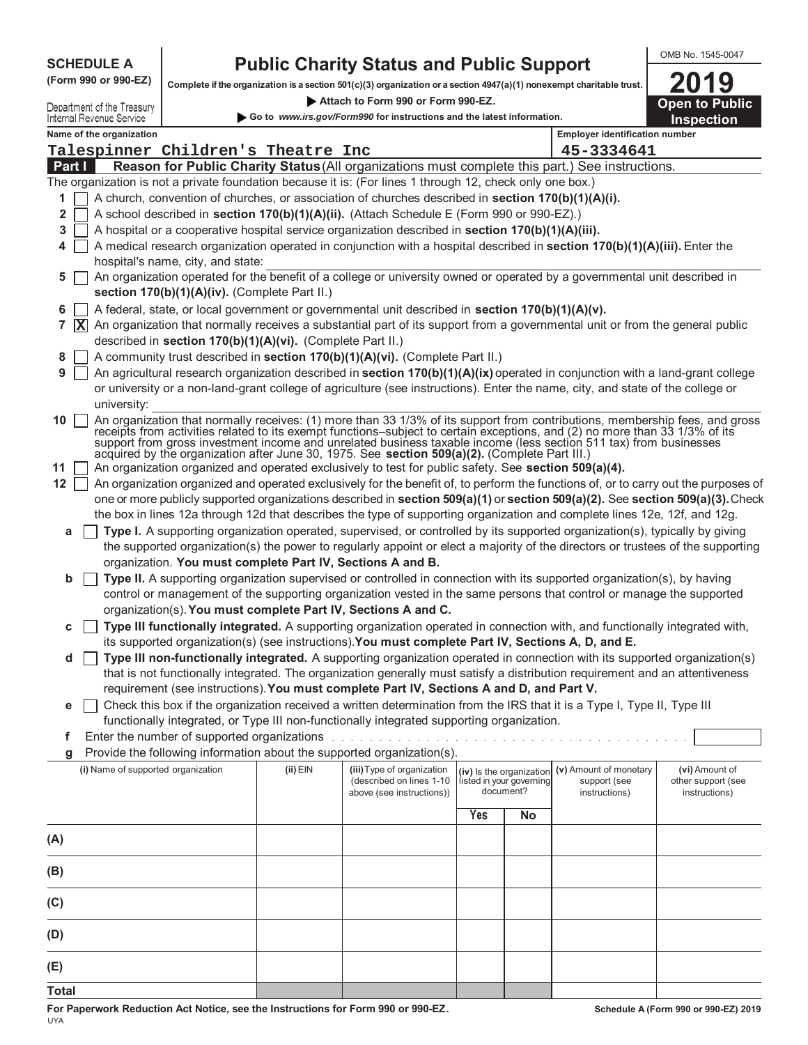|                            | <b>Public Charity Status and Public Support</b><br><b>SCHEDULE A</b> |                                                                                                                      |            |                                                                                                                                                                                                                                                             |                                       |                          | OMB No. 1545-0047                     |                                     |
|----------------------------|----------------------------------------------------------------------|----------------------------------------------------------------------------------------------------------------------|------------|-------------------------------------------------------------------------------------------------------------------------------------------------------------------------------------------------------------------------------------------------------------|---------------------------------------|--------------------------|---------------------------------------|-------------------------------------|
|                            | (Form 990 or 990-EZ)                                                 | Complete if the organization is a section 501(c)(3) organization or a section 4947(a)(1) nonexempt charitable trust. |            |                                                                                                                                                                                                                                                             |                                       |                          |                                       |                                     |
| Department of the Treasury | 2019<br><b>Open to Public</b>                                        |                                                                                                                      |            |                                                                                                                                                                                                                                                             |                                       |                          |                                       |                                     |
|                            | Internal Revenue Service                                             |                                                                                                                      |            | Go to www.irs.gov/Form990 for instructions and the latest information.                                                                                                                                                                                      |                                       |                          |                                       | <b>Inspection</b>                   |
|                            | Name of the organization                                             |                                                                                                                      |            |                                                                                                                                                                                                                                                             |                                       |                          | <b>Employer identification number</b> |                                     |
| Part I                     |                                                                      | Talespinner Children's Theatre Inc                                                                                   |            | Reason for Public Charity Status (All organizations must complete this part.) See instructions.                                                                                                                                                             |                                       |                          | 45-3334641                            |                                     |
|                            |                                                                      |                                                                                                                      |            | The organization is not a private foundation because it is: (For lines 1 through 12, check only one box.)                                                                                                                                                   |                                       |                          |                                       |                                     |
| 1                          |                                                                      |                                                                                                                      |            | A church, convention of churches, or association of churches described in section 170(b)(1)(A)(i).                                                                                                                                                          |                                       |                          |                                       |                                     |
| 2                          |                                                                      |                                                                                                                      |            | A school described in section 170(b)(1)(A)(ii). (Attach Schedule E (Form 990 or 990-EZ).)                                                                                                                                                                   |                                       |                          |                                       |                                     |
| 3                          |                                                                      |                                                                                                                      |            | A hospital or a cooperative hospital service organization described in section 170(b)(1)(A)(iii).                                                                                                                                                           |                                       |                          |                                       |                                     |
| 4                          |                                                                      |                                                                                                                      |            | A medical research organization operated in conjunction with a hospital described in section 170(b)(1)(A)(iii). Enter the                                                                                                                                   |                                       |                          |                                       |                                     |
|                            |                                                                      | hospital's name, city, and state:                                                                                    |            |                                                                                                                                                                                                                                                             |                                       |                          |                                       |                                     |
| 5                          |                                                                      | section 170(b)(1)(A)(iv). (Complete Part II.)                                                                        |            | An organization operated for the benefit of a college or university owned or operated by a governmental unit described in                                                                                                                                   |                                       |                          |                                       |                                     |
| 6                          |                                                                      |                                                                                                                      |            | A federal, state, or local government or governmental unit described in section 170(b)(1)(A)(v).                                                                                                                                                            |                                       |                          |                                       |                                     |
|                            |                                                                      |                                                                                                                      |            | 7 $\bar{X}$ An organization that normally receives a substantial part of its support from a governmental unit or from the general public                                                                                                                    |                                       |                          |                                       |                                     |
|                            |                                                                      | described in section 170(b)(1)(A)(vi). (Complete Part II.)                                                           |            |                                                                                                                                                                                                                                                             |                                       |                          |                                       |                                     |
| 8                          |                                                                      |                                                                                                                      |            | A community trust described in section 170(b)(1)(A)(vi). (Complete Part II.)                                                                                                                                                                                |                                       |                          |                                       |                                     |
| 9                          |                                                                      |                                                                                                                      |            | An agricultural research organization described in section 170(b)(1)(A)(ix) operated in conjunction with a land-grant college                                                                                                                               |                                       |                          |                                       |                                     |
|                            | university:                                                          |                                                                                                                      |            | or university or a non-land-grant college of agriculture (see instructions). Enter the name, city, and state of the college or                                                                                                                              |                                       |                          |                                       |                                     |
| 10                         |                                                                      |                                                                                                                      |            |                                                                                                                                                                                                                                                             |                                       |                          |                                       |                                     |
|                            |                                                                      |                                                                                                                      |            | An organization that normally receives: (1) more than 33 1/3% of its support from contributions, membership fees, and gross receipts from activities related to its exempt functions-subject to certain exceptions, and (2) n                               |                                       |                          |                                       |                                     |
|                            |                                                                      |                                                                                                                      |            | support from gross investment income and unrelated business taxable income (less section 511 tax) from businesses<br>acquired by the organization after June 30, 1975. See section 509(a)(2). (Complete Part III.)                                          |                                       |                          |                                       |                                     |
| 11                         |                                                                      |                                                                                                                      |            | An organization organized and operated exclusively to test for public safety. See section 509(a)(4).                                                                                                                                                        |                                       |                          |                                       |                                     |
| $12$                       |                                                                      |                                                                                                                      |            | An organization organized and operated exclusively for the benefit of, to perform the functions of, or to carry out the purposes of                                                                                                                         |                                       |                          |                                       |                                     |
|                            |                                                                      |                                                                                                                      |            | one or more publicly supported organizations described in section 509(a)(1) or section 509(a)(2). See section 509(a)(3). Check<br>the box in lines 12a through 12d that describes the type of supporting organization and complete lines 12e, 12f, and 12g. |                                       |                          |                                       |                                     |
| а                          |                                                                      |                                                                                                                      |            | Type I. A supporting organization operated, supervised, or controlled by its supported organization(s), typically by giving                                                                                                                                 |                                       |                          |                                       |                                     |
|                            |                                                                      |                                                                                                                      |            | the supported organization(s) the power to regularly appoint or elect a majority of the directors or trustees of the supporting                                                                                                                             |                                       |                          |                                       |                                     |
|                            |                                                                      | organization. You must complete Part IV, Sections A and B.                                                           |            |                                                                                                                                                                                                                                                             |                                       |                          |                                       |                                     |
| b                          |                                                                      |                                                                                                                      |            | Type II. A supporting organization supervised or controlled in connection with its supported organization(s), by having                                                                                                                                     |                                       |                          |                                       |                                     |
|                            |                                                                      |                                                                                                                      |            | control or management of the supporting organization vested in the same persons that control or manage the supported<br>organization(s). You must complete Part IV, Sections A and C.                                                                       |                                       |                          |                                       |                                     |
| с                          |                                                                      |                                                                                                                      |            | Type III functionally integrated. A supporting organization operated in connection with, and functionally integrated with,                                                                                                                                  |                                       |                          |                                       |                                     |
|                            |                                                                      |                                                                                                                      |            | its supported organization(s) (see instructions). You must complete Part IV, Sections A, D, and E.                                                                                                                                                          |                                       |                          |                                       |                                     |
| d                          |                                                                      |                                                                                                                      |            | Type III non-functionally integrated. A supporting organization operated in connection with its supported organization(s)                                                                                                                                   |                                       |                          |                                       |                                     |
|                            |                                                                      |                                                                                                                      |            | that is not functionally integrated. The organization generally must satisfy a distribution requirement and an attentiveness                                                                                                                                |                                       |                          |                                       |                                     |
|                            |                                                                      |                                                                                                                      |            | requirement (see instructions). You must complete Part IV, Sections A and D, and Part V.                                                                                                                                                                    |                                       |                          |                                       |                                     |
| е                          |                                                                      |                                                                                                                      |            | Check this box if the organization received a written determination from the IRS that it is a Type I, Type II, Type III<br>functionally integrated, or Type III non-functionally integrated supporting organization.                                        |                                       |                          |                                       |                                     |
| f                          |                                                                      | Enter the number of supported organizations .                                                                        |            | and a straight and a straight and                                                                                                                                                                                                                           |                                       |                          |                                       |                                     |
| g                          |                                                                      |                                                                                                                      |            | Provide the following information about the supported organization(s).                                                                                                                                                                                      |                                       |                          |                                       |                                     |
|                            | (i) Name of supported organization                                   |                                                                                                                      | $(ii)$ EIN | (iii) Type of organization                                                                                                                                                                                                                                  |                                       | (iv) Is the organization | (v) Amount of monetary                | (vi) Amount of                      |
|                            |                                                                      |                                                                                                                      |            | (described on lines 1-10<br>above (see instructions))                                                                                                                                                                                                       | listed in your governing<br>document? |                          | support (see<br>instructions)         | other support (see<br>instructions) |
|                            |                                                                      |                                                                                                                      |            |                                                                                                                                                                                                                                                             | Yes                                   | <b>No</b>                |                                       |                                     |
|                            |                                                                      |                                                                                                                      |            |                                                                                                                                                                                                                                                             |                                       |                          |                                       |                                     |
| (A)                        |                                                                      |                                                                                                                      |            |                                                                                                                                                                                                                                                             |                                       |                          |                                       |                                     |
| (B)                        |                                                                      |                                                                                                                      |            |                                                                                                                                                                                                                                                             |                                       |                          |                                       |                                     |
| (C)                        |                                                                      |                                                                                                                      |            |                                                                                                                                                                                                                                                             |                                       |                          |                                       |                                     |
| (D)                        |                                                                      |                                                                                                                      |            |                                                                                                                                                                                                                                                             |                                       |                          |                                       |                                     |

**For Paperwork Reduction Act Notice, see the Instructions for Form 990 or 990-EZ.** UYA

**(E) Total**  OMB No. 1545-0047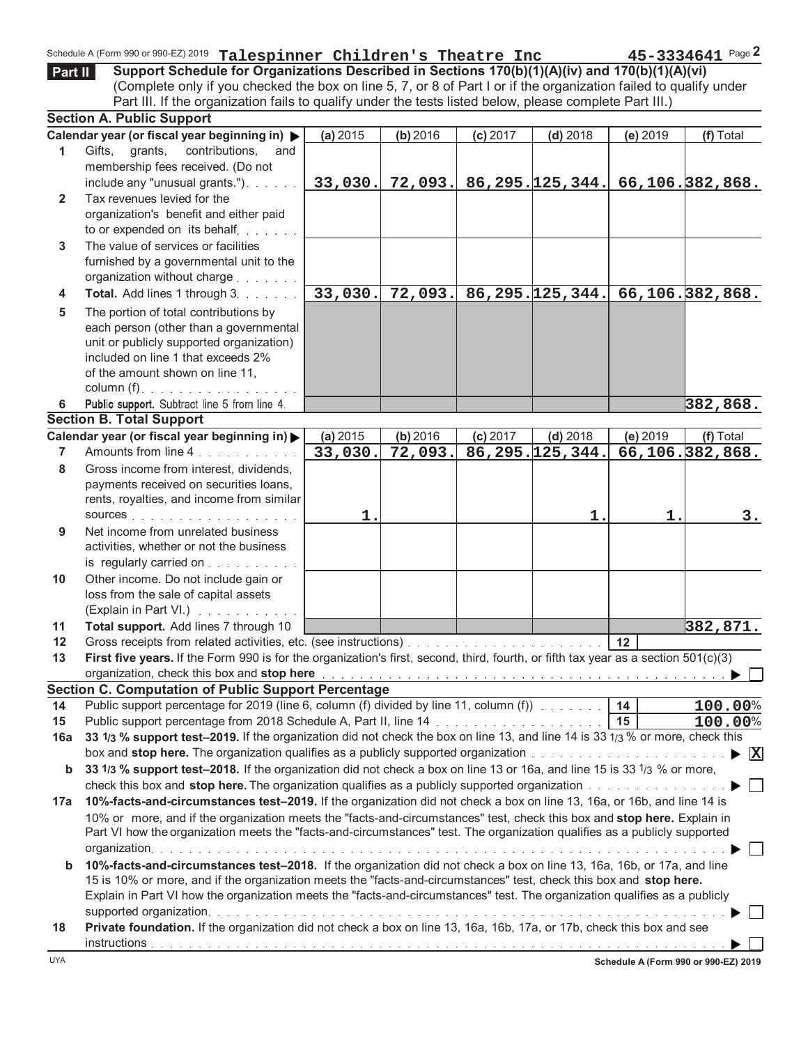|              | Schedule A (Form 990 or 990-EZ) 2019 Talespinner Children's Theatre Inc                                                                                                                                             |          |          |            |                      |          | $45 - 3334641$ Page 2                       |
|--------------|---------------------------------------------------------------------------------------------------------------------------------------------------------------------------------------------------------------------|----------|----------|------------|----------------------|----------|---------------------------------------------|
| Part II      | Support Schedule for Organizations Described in Sections 170(b)(1)(A)(iv) and 170(b)(1)(A)(vi)<br>(Complete only if you checked the box on line 5, 7, or 8 of Part I or if the organization failed to qualify under |          |          |            |                      |          |                                             |
|              | Part III. If the organization fails to qualify under the tests listed below, please complete Part III.)                                                                                                             |          |          |            |                      |          |                                             |
|              | <b>Section A. Public Support</b>                                                                                                                                                                                    |          |          |            |                      |          |                                             |
|              | Calendar year (or fiscal year beginning in) $\blacktriangleright$                                                                                                                                                   | (a) 2015 | (b) 2016 | $(c)$ 2017 | $(d)$ 2018           | (e) 2019 | (f) Total                                   |
| 1            | Gifts,<br>grants,<br>contributions,<br>and<br>membership fees received. (Do not                                                                                                                                     |          |          |            |                      |          |                                             |
|              | include any "unusual grants.").                                                                                                                                                                                     | 33,030.  |          |            |                      |          | $72,093.$ 86,295. 125,344. 66,106. 382,868. |
| $\mathbf{2}$ | Tax revenues levied for the                                                                                                                                                                                         |          |          |            |                      |          |                                             |
|              | organization's benefit and either paid                                                                                                                                                                              |          |          |            |                      |          |                                             |
|              | to or expended on its behalf                                                                                                                                                                                        |          |          |            |                      |          |                                             |
| 3            | The value of services or facilities                                                                                                                                                                                 |          |          |            |                      |          |                                             |
|              | furnished by a governmental unit to the                                                                                                                                                                             |          |          |            |                      |          |                                             |
|              | organization without charge entitled and success                                                                                                                                                                    |          |          |            |                      |          |                                             |
| 4            | Total. Add lines 1 through 3.                                                                                                                                                                                       | 33,030.  | 72,093.  |            |                      |          | $86, 295.$ 125, 344. 66, 106. 382, 868.     |
| 5            | The portion of total contributions by                                                                                                                                                                               |          |          |            |                      |          |                                             |
|              | each person (other than a governmental                                                                                                                                                                              |          |          |            |                      |          |                                             |
|              | unit or publicly supported organization)                                                                                                                                                                            |          |          |            |                      |          |                                             |
|              | included on line 1 that exceeds 2%                                                                                                                                                                                  |          |          |            |                      |          |                                             |
|              | of the amount shown on line 11,                                                                                                                                                                                     |          |          |            |                      |          |                                             |
|              | column $(f)$ .                                                                                                                                                                                                      |          |          |            |                      |          |                                             |
| 6            | Public support. Subtract line 5 from line 4.                                                                                                                                                                        |          |          |            |                      |          | 382,868.                                    |
|              | <b>Section B. Total Support</b>                                                                                                                                                                                     |          |          |            |                      |          |                                             |
|              | Calendar year (or fiscal year beginning in) >                                                                                                                                                                       | (a) 2015 | (b) 2016 | $(c)$ 2017 | $(d)$ 2018           | (e) 2019 | (f) Total                                   |
| 7            | Amounts from line 4                                                                                                                                                                                                 | 33,030.  | 72,093.  |            | $86, 295.$ 125, 344. |          | 66,106.382,868.                             |
| 8            | Gross income from interest, dividends,                                                                                                                                                                              |          |          |            |                      |          |                                             |
|              | payments received on securities loans,                                                                                                                                                                              |          |          |            |                      |          |                                             |
|              | rents, royalties, and income from similar                                                                                                                                                                           |          |          |            |                      |          |                                             |
|              | SOUICES                                                                                                                                                                                                             | 1.       |          |            | 1.                   | 1.       | 3.                                          |
| 9            | Net income from unrelated business                                                                                                                                                                                  |          |          |            |                      |          |                                             |
|              | activities, whether or not the business                                                                                                                                                                             |          |          |            |                      |          |                                             |
|              | is regularly carried on                                                                                                                                                                                             |          |          |            |                      |          |                                             |
| 10           | Other income. Do not include gain or                                                                                                                                                                                |          |          |            |                      |          |                                             |
|              | loss from the sale of capital assets                                                                                                                                                                                |          |          |            |                      |          |                                             |
|              | (Explain in Part VI.)                                                                                                                                                                                               |          |          |            |                      |          |                                             |
| 11           | Total support. Add lines 7 through 10                                                                                                                                                                               |          |          |            |                      |          | 382,871.                                    |
| 12           |                                                                                                                                                                                                                     |          |          |            |                      |          |                                             |
| 13           | First five years. If the Form 990 is for the organization's first, second, third, fourth, or fifth tax year as a section 501(c)(3)                                                                                  |          |          |            |                      |          |                                             |
|              | organization, check this box and stop here enterpresent and the context of the context of the context of the box<br><b>Section C. Computation of Public Support Percentage</b>                                      |          |          |            |                      |          |                                             |
| 14           | Public support percentage for 2019 (line 6, column (f) divided by line 11, column (f)<br>Public support percentage for 2019 (line 6, column (f) divided by line 11, column (f)<br>Public support of the 14          |          |          |            |                      |          | 100.00%                                     |
| 15           | Public support percentage from 2018 Schedule A, Part II, line 14 mass contained a series of 15                                                                                                                      |          |          |            |                      |          | 100.00%                                     |
| 16a          | 33 1/3 % support test-2019. If the organization did not check the box on line 13, and line 14 is 33 1/3 % or more, check this                                                                                       |          |          |            |                      |          |                                             |
|              |                                                                                                                                                                                                                     |          |          |            |                      |          |                                             |
| b            | 33 1/3 % support test-2018. If the organization did not check a box on line 13 or 16a, and line 15 is 33 1/3 % or more,                                                                                             |          |          |            |                      |          |                                             |
|              |                                                                                                                                                                                                                     |          |          |            |                      |          |                                             |
| 17a          | 10%-facts-and-circumstances test-2019. If the organization did not check a box on line 13, 16a, or 16b, and line 14 is                                                                                              |          |          |            |                      |          |                                             |
|              | 10% or more, and if the organization meets the "facts-and-circumstances" test, check this box and stop here. Explain in                                                                                             |          |          |            |                      |          |                                             |
|              | Part VI how the organization meets the "facts-and-circumstances" test. The organization qualifies as a publicly supported                                                                                           |          |          |            |                      |          |                                             |
|              |                                                                                                                                                                                                                     |          |          |            |                      |          |                                             |
| $\mathbf b$  | 10%-facts-and-circumstances test-2018. If the organization did not check a box on line 13, 16a, 16b, or 17a, and line                                                                                               |          |          |            |                      |          |                                             |
|              | 15 is 10% or more, and if the organization meets the "facts-and-circumstances" test, check this box and stop here.                                                                                                  |          |          |            |                      |          |                                             |
|              | Explain in Part VI how the organization meets the "facts-and-circumstances" test. The organization qualifies as a publicly                                                                                          |          |          |            |                      |          |                                             |
|              |                                                                                                                                                                                                                     |          |          |            |                      |          |                                             |
| 18           | Private foundation. If the organization did not check a box on line 13, 16a, 16b, 17a, or 17b, check this box and see                                                                                               |          |          |            |                      |          |                                             |
|              |                                                                                                                                                                                                                     |          |          |            |                      |          |                                             |

**Schedule A (Form 990 or 990-EZ) 2019**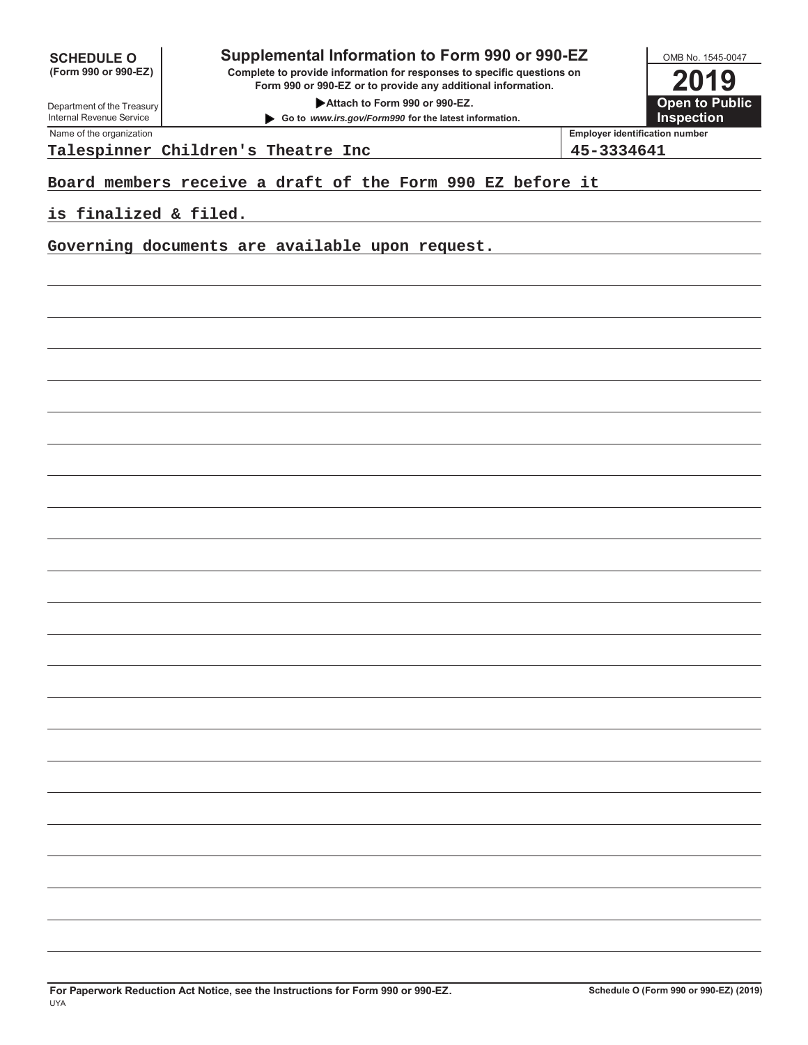| <b>SCHEDULE O</b>    |  |  |  |
|----------------------|--|--|--|
| (Form 990 or 990-EZ) |  |  |  |

## **Supplemental Information to Form 990 or 990-EZ**

**Complete to provide information for responses to specific questions on Form 990 or 990-EZ or to provide any additional information.**

**Attach to Form 990 or 990-EZ.** 

**Go to** *www.irs.gov/Form990* **for the latest information.**



Department of the Treasury Internal Revenue Service Name of the organization **Employer identification number** 

**Talespinner Children's Theatre Inc 45-3334641**

**Board members receive a draft of the Form 990 EZ before it**

**is finalized & filed.**

**Governing documents are available upon request.**